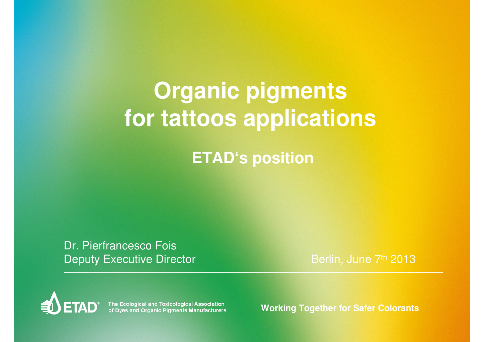# **Organic pigments for tattoos applications**

**ETAD's position** 

Dr. Pierfrancesco FoisDeputy Executive Director

Berlin, June 7th <sup>2013</sup>



The Ecological and Toxicological Association<br>of Dyes and Organic Pigments Manufacturers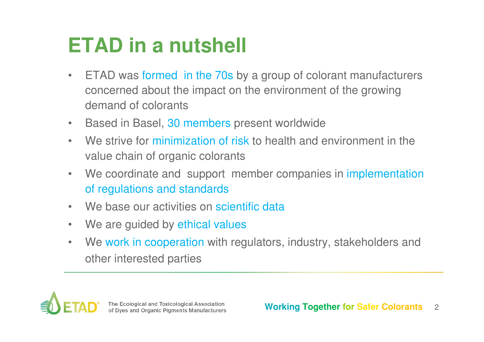# **ETAD in a nutshell**

- • ETAD was formed in the 70s by a group of colorant manufacturers concerned about the impact on the environment of the growing demand of colorants
- $\bullet$ Based in Basel, 30 members present worldwide
- • We strive for minimization of risk to health and environment in the value chain of organic colorants
- $\bullet$ We coordinate and support member companies in implementation of regulations and standards
- $\bullet$ We base our activities on scientific data
- $\bullet$ We are guided by ethical values
- • We work in cooperation with regulators, industry, stakeholders and other interested parties

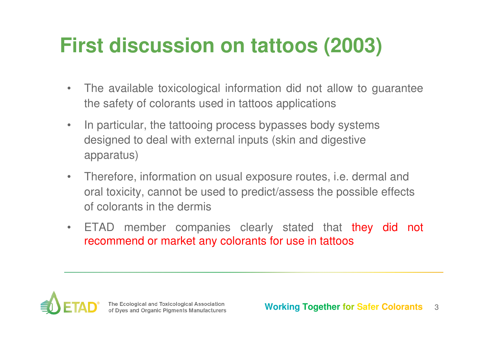# **First discussion on tattoos (2003)**

- • The available toxicological information did not allow to guarantee the safety of colorants used in tattoos applications
- • In particular, the tattooing process bypasses body systems designed to deal with external inputs (skin and digestive apparatus)
- • Therefore, information on usual exposure routes, i.e. dermal and oral toxicity, cannot be used to predict/assess the possible effects of colorants in the dermis
- •ETAD member companies clearly stated that they did not recommend or market any colorants for use in tattoos

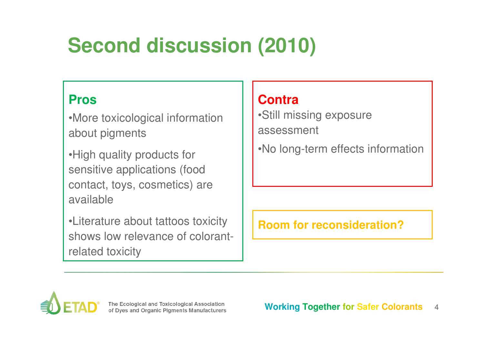# **Second discussion (2010)**

#### **Pros**

•More toxicological information about pigments

•High quality products for sensitive applications (food contact, toys, cosmetics) are available

•Literature about tattoos toxicity shows low relevance of colorantrelated toxicity

### **Contra**

 •Still missing exposure assessment

•No long-term effects information

**Room for reconsideration?**

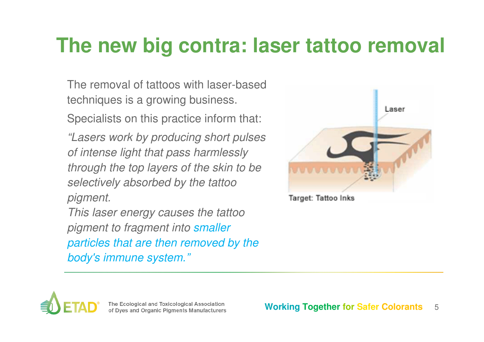### **The new big contra: laser tattoo removal**

The removal of tattoos with laser-based techniques is a growing business.

Specialists on this practice inform that:

"Lasers work by producing short pulses of intense light that pass harmlessly through the top layers of the skin to be selectively absorbed by the tattoo pigment.

This laser energy causes the tattoo pigment to fragment into smaller particles that are then removed by the body's immune system."



Target: Tattoo Inks

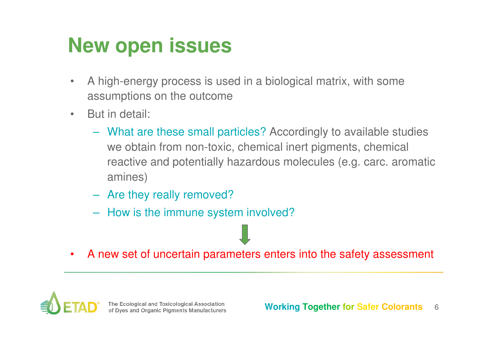# **New open issues**

- • A high-energy process is used in a biological matrix, with some assumptions on the outcome
- • But in detail:
	- What are these small particles? Accordingly to available studies we obtain from non-toxic, chemical inert pigments, chemical reactive and potentially hazardous molecules (e.g. carc. aromatic amines)
	- Are they really removed?
	- How is the immune system involved?
- •A new set of uncertain parameters enters into the safety assessment

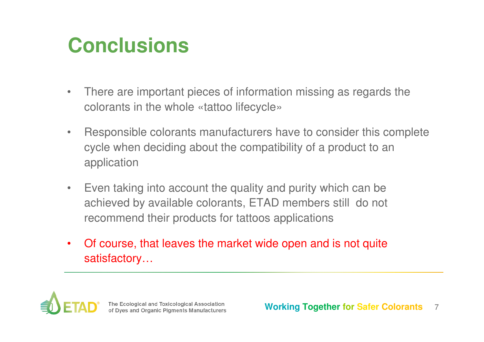# **Conclusions**

- • There are important pieces of information missing as regards thecolorants in the whole «tattoo lifecycle»
- • Responsible colorants manufacturers have to consider this complete cycle when deciding about the compatibility of a product to an application
- • Even taking into account the quality and purity which can be achieved by available colorants, ETAD members still do not recommend their products for tattoos applications
- • Of course, that leaves the market wide open and is not quite satisfactory…

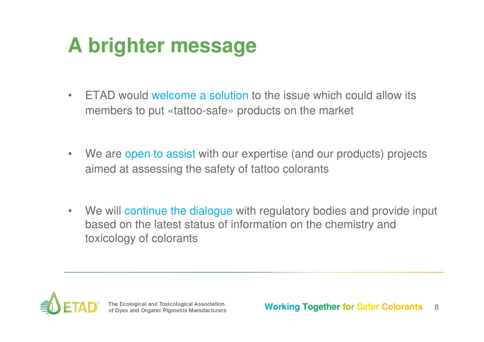# **A brighter message**

- $\bullet$  ETAD would welcome a solution to the issue which could allow its members to put «tattoo-safe» products on the market
- $\bullet$ We are open to assist with our expertise (and our products) projects aimed at assessing the safety of tattoo colorants
- $\bullet$ We will continue the dialogue with regulatory bodies and provide input based on the latest status of information on the chemistry and toxicology of colorants

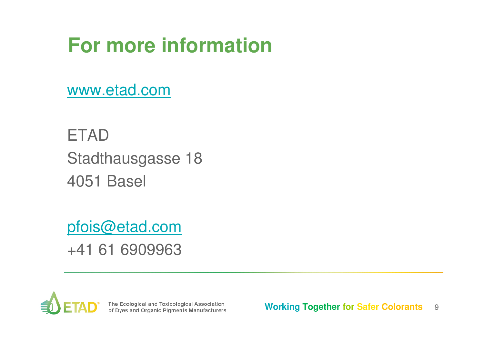# **For more information**

www.etad.com

**ETAD**  Stadthausgasse 184051 Basel

pfois@etad.com+41 61 6909963



The Ecological and Toxicological Association<br>of Dyes and Organic Pigments Manufacturers